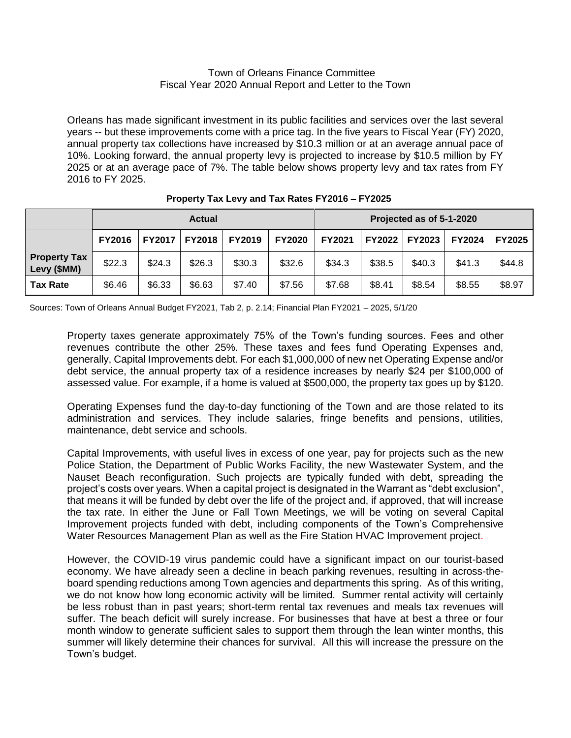## Town of Orleans Finance Committee Fiscal Year 2020 Annual Report and Letter to the Town

Orleans has made significant investment in its public facilities and services over the last several years -- but these improvements come with a price tag. In the five years to Fiscal Year (FY) 2020, annual property tax collections have increased by \$10.3 million or at an average annual pace of 10%. Looking forward, the annual property levy is projected to increase by \$10.5 million by FY 2025 or at an average pace of 7%. The table below shows property levy and tax rates from FY 2016 to FY 2025.

|                                    | <b>Actual</b> |        |                 |               |               | Projected as of 5-1-2020 |               |               |               |               |
|------------------------------------|---------------|--------|-----------------|---------------|---------------|--------------------------|---------------|---------------|---------------|---------------|
|                                    | <b>FY2016</b> |        | FY2017   FY2018 | <b>FY2019</b> | <b>FY2020</b> | <b>FY2021</b>            | <b>FY2022</b> | <b>FY2023</b> | <b>FY2024</b> | <b>FY2025</b> |
| <b>Property Tax</b><br>Levy (\$MM) | \$22.3        | \$24.3 | \$26.3          | \$30.3        | \$32.6        | \$34.3                   | \$38.5        | \$40.3        | \$41.3        | \$44.8        |
| <b>Tax Rate</b>                    | \$6.46        | \$6.33 | \$6.63          | \$7.40        | \$7.56        | \$7.68                   | \$8.41        | \$8.54        | \$8.55        | \$8.97        |

## **Property Tax Levy and Tax Rates FY2016 – FY2025**

Sources: Town of Orleans Annual Budget FY2021, Tab 2, p. 2.14; Financial Plan FY2021 – 2025, 5/1/20

Property taxes generate approximately 75% of the Town's funding sources. Fees and other revenues contribute the other 25%. These taxes and fees fund Operating Expenses and, generally, Capital Improvements debt. For each \$1,000,000 of new net Operating Expense and/or debt service, the annual property tax of a residence increases by nearly \$24 per \$100,000 of assessed value. For example, if a home is valued at \$500,000, the property tax goes up by \$120.

Operating Expenses fund the day-to-day functioning of the Town and are those related to its administration and services. They include salaries, fringe benefits and pensions, utilities, maintenance, debt service and schools.

Capital Improvements, with useful lives in excess of one year, pay for projects such as the new Police Station, the Department of Public Works Facility, the new Wastewater System, and the Nauset Beach reconfiguration. Such projects are typically funded with debt, spreading the project's costs over years. When a capital project is designated in the Warrant as "debt exclusion", that means it will be funded by debt over the life of the project and, if approved, that will increase the tax rate. In either the June or Fall Town Meetings, we will be voting on several Capital Improvement projects funded with debt, including components of the Town's Comprehensive Water Resources Management Plan as well as the Fire Station HVAC Improvement project.

However, the COVID-19 virus pandemic could have a significant impact on our tourist-based economy. We have already seen a decline in beach parking revenues, resulting in across-theboard spending reductions among Town agencies and departments this spring. As of this writing, we do not know how long economic activity will be limited. Summer rental activity will certainly be less robust than in past years; short-term rental tax revenues and meals tax revenues will suffer. The beach deficit will surely increase. For businesses that have at best a three or four month window to generate sufficient sales to support them through the lean winter months, this summer will likely determine their chances for survival. All this will increase the pressure on the Town's budget.